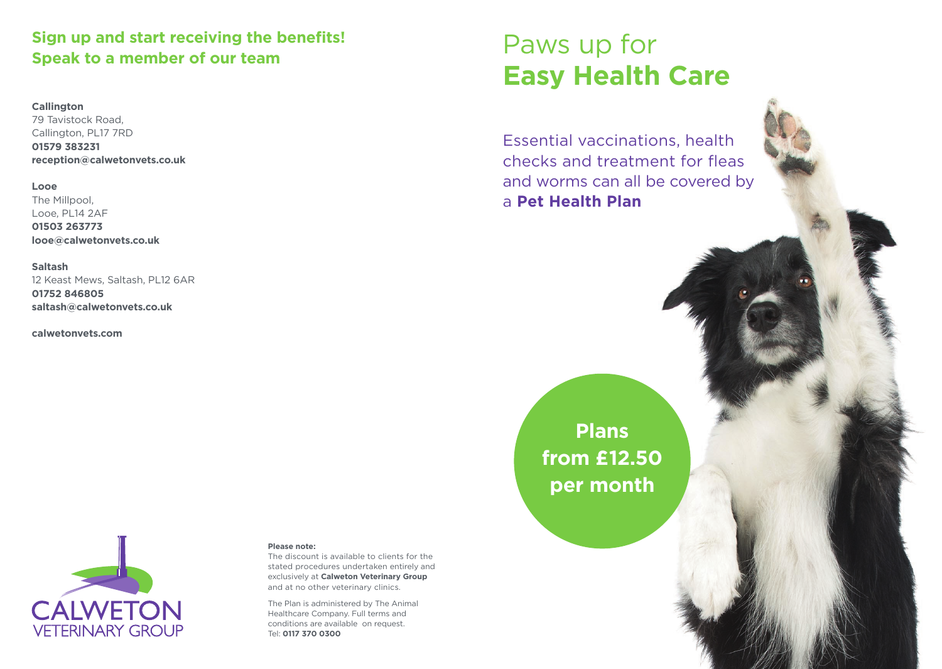### **Sign up and start receiving the benefits!** Sign up and start receiving the benefits!<br>Speak to a member of our team<br>**Speak to a member of our team**

#### **Callington**

79 Tavistock Road, Callington, PL17 7RD **01579 383231 reception@calwetonvets.co.uk**

#### **Looe**

The Millpool, Looe, PL14 2AF **01503 263773 looe@calwetonvets.co.uk**

**Saltash** 12 Keast Mews, Saltash, PL12 6AR **01752 846805 saltash@calwetonvets.co.uk**

**calwetonvets.com**

# **Easy Health Care**

Essential vaccinations, health checks and treatment for fleas and worms can all be covered by a **Pet Health Plan**

> **Plans from £12.50 per month**



#### **Please note:**

The discount is available to clients for the stated procedures undertaken entirely and exclusively at **Calweton Veterinary Group**  and at no other veterinary clinics.

The Plan is administered by The Animal Healthcare Company. Full terms and conditions are available on request. Tel: **0117 370 0300**